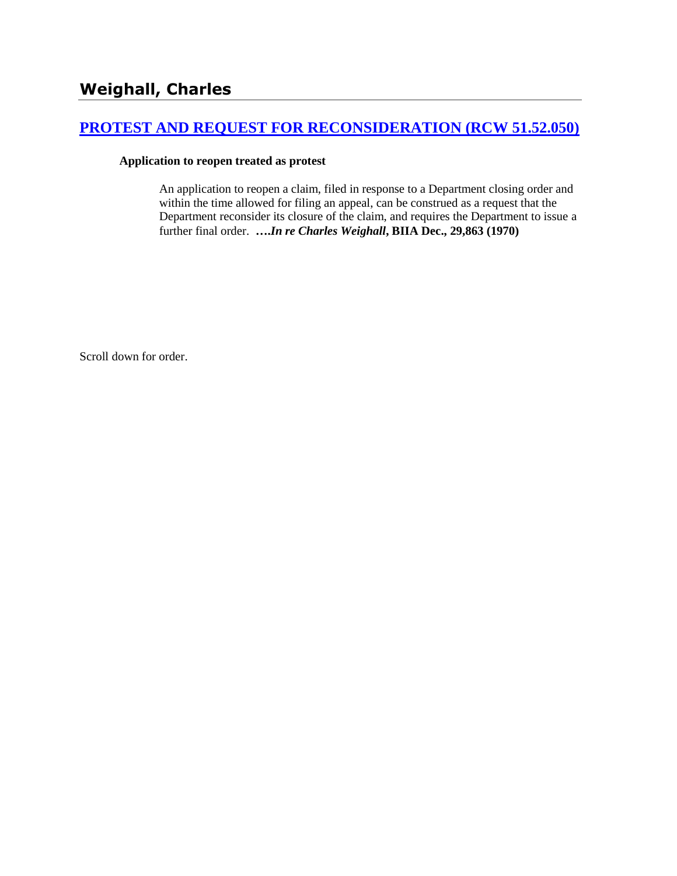# **[PROTEST AND REQUEST FOR RECONSIDERATION \(RCW 51.52.050\)](http://www.biia.wa.gov/SDSubjectIndex.html#PROTEST_AND_REQUEST_FOR_RECONSIDERATION)**

### **Application to reopen treated as protest**

An application to reopen a claim, filed in response to a Department closing order and within the time allowed for filing an appeal, can be construed as a request that the Department reconsider its closure of the claim, and requires the Department to issue a further final order. **….***In re Charles Weighall***, BIIA Dec., 29,863 (1970)** 

Scroll down for order.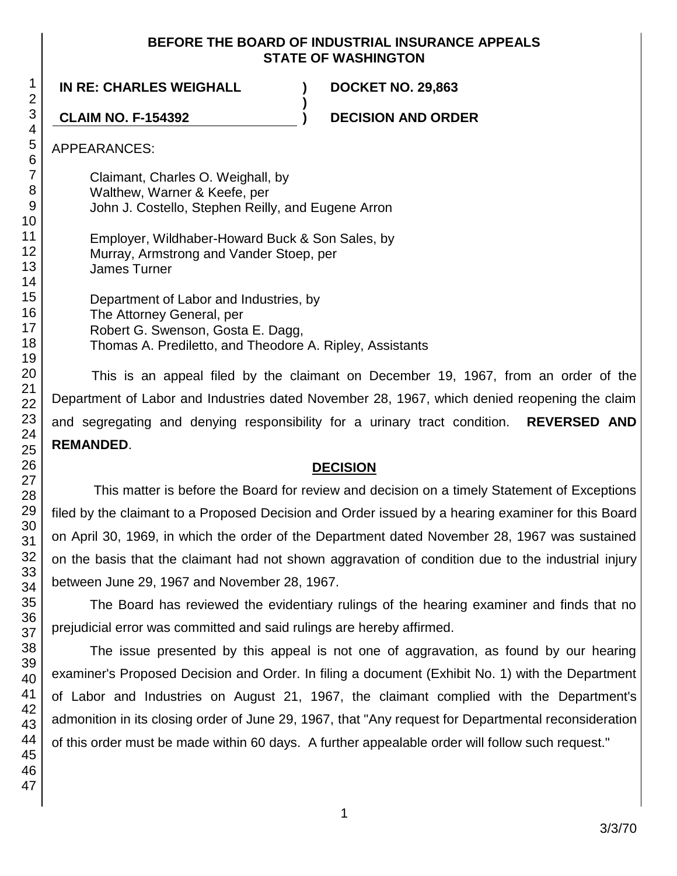### **BEFORE THE BOARD OF INDUSTRIAL INSURANCE APPEALS STATE OF WASHINGTON**

**)**

**IN RE: CHARLES WEIGHALL ) DOCKET NO. 29,863**

**CLAIM NO. F-154392 ) DECISION AND ORDER**

APPEARANCES:

Claimant, Charles O. Weighall, by Walthew, Warner & Keefe, per John J. Costello, Stephen Reilly, and Eugene Arron

Employer, Wildhaber-Howard Buck & Son Sales, by Murray, Armstrong and Vander Stoep, per James Turner

Department of Labor and Industries, by The Attorney General, per Robert G. Swenson, Gosta E. Dagg. Thomas A. Prediletto, and Theodore A. Ripley, Assistants

This is an appeal filed by the claimant on December 19, 1967, from an order of the Department of Labor and Industries dated November 28, 1967, which denied reopening the claim and segregating and denying responsibility for a urinary tract condition. **REVERSED AND REMANDED**.

# **DECISION**

This matter is before the Board for review and decision on a timely Statement of Exceptions filed by the claimant to a Proposed Decision and Order issued by a hearing examiner for this Board on April 30, 1969, in which the order of the Department dated November 28, 1967 was sustained on the basis that the claimant had not shown aggravation of condition due to the industrial injury between June 29, 1967 and November 28, 1967.

The Board has reviewed the evidentiary rulings of the hearing examiner and finds that no prejudicial error was committed and said rulings are hereby affirmed.

The issue presented by this appeal is not one of aggravation, as found by our hearing examiner's Proposed Decision and Order. In filing a document (Exhibit No. 1) with the Department of Labor and Industries on August 21, 1967, the claimant complied with the Department's admonition in its closing order of June 29, 1967, that "Any request for Departmental reconsideration of this order must be made within 60 days. A further appealable order will follow such request."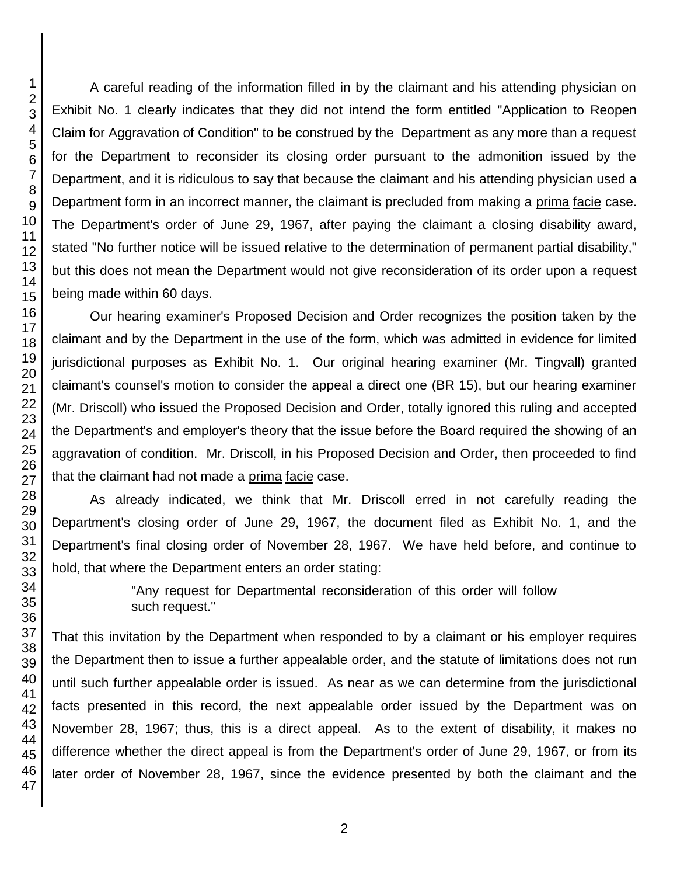A careful reading of the information filled in by the claimant and his attending physician on Exhibit No. 1 clearly indicates that they did not intend the form entitled "Application to Reopen Claim for Aggravation of Condition" to be construed by the Department as any more than a request for the Department to reconsider its closing order pursuant to the admonition issued by the Department, and it is ridiculous to say that because the claimant and his attending physician used a Department form in an incorrect manner, the claimant is precluded from making a prima facie case. The Department's order of June 29, 1967, after paying the claimant a closing disability award, stated "No further notice will be issued relative to the determination of permanent partial disability," but this does not mean the Department would not give reconsideration of its order upon a request being made within 60 days.

Our hearing examiner's Proposed Decision and Order recognizes the position taken by the claimant and by the Department in the use of the form, which was admitted in evidence for limited jurisdictional purposes as Exhibit No. 1. Our original hearing examiner (Mr. Tingvall) granted claimant's counsel's motion to consider the appeal a direct one (BR 15), but our hearing examiner (Mr. Driscoll) who issued the Proposed Decision and Order, totally ignored this ruling and accepted the Department's and employer's theory that the issue before the Board required the showing of an aggravation of condition. Mr. Driscoll, in his Proposed Decision and Order, then proceeded to find that the claimant had not made a prima facie case.

As already indicated, we think that Mr. Driscoll erred in not carefully reading the Department's closing order of June 29, 1967, the document filed as Exhibit No. 1, and the Department's final closing order of November 28, 1967. We have held before, and continue to hold, that where the Department enters an order stating:

> "Any request for Departmental reconsideration of this order will follow such request."

That this invitation by the Department when responded to by a claimant or his employer requires the Department then to issue a further appealable order, and the statute of limitations does not run until such further appealable order is issued. As near as we can determine from the jurisdictional facts presented in this record, the next appealable order issued by the Department was on November 28, 1967; thus, this is a direct appeal. As to the extent of disability, it makes no difference whether the direct appeal is from the Department's order of June 29, 1967, or from its later order of November 28, 1967, since the evidence presented by both the claimant and the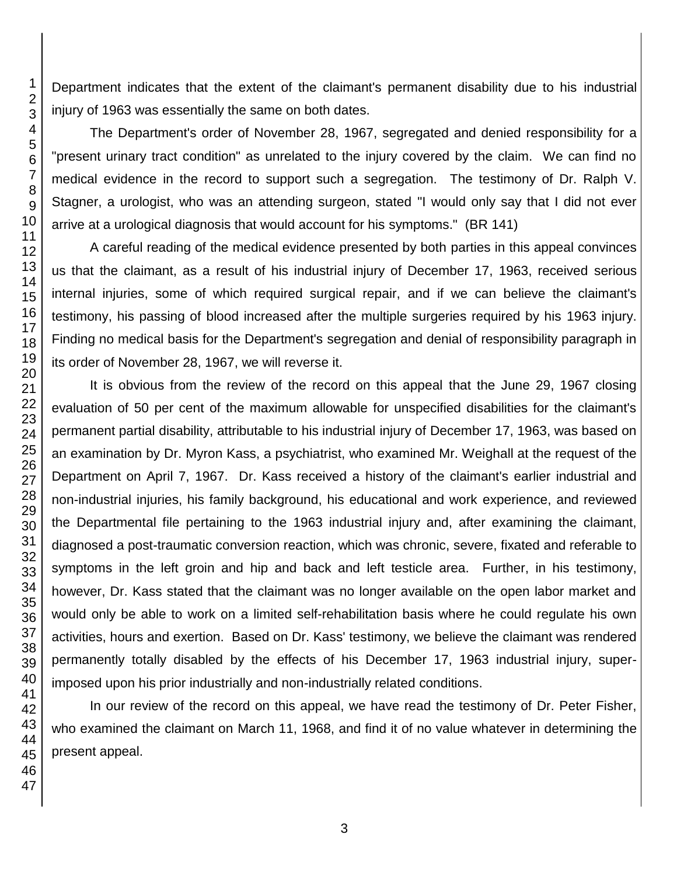Department indicates that the extent of the claimant's permanent disability due to his industrial injury of 1963 was essentially the same on both dates.

The Department's order of November 28, 1967, segregated and denied responsibility for a "present urinary tract condition" as unrelated to the injury covered by the claim. We can find no medical evidence in the record to support such a segregation. The testimony of Dr. Ralph V. Stagner, a urologist, who was an attending surgeon, stated "I would only say that I did not ever arrive at a urological diagnosis that would account for his symptoms." (BR 141)

A careful reading of the medical evidence presented by both parties in this appeal convinces us that the claimant, as a result of his industrial injury of December 17, 1963, received serious internal injuries, some of which required surgical repair, and if we can believe the claimant's testimony, his passing of blood increased after the multiple surgeries required by his 1963 injury. Finding no medical basis for the Department's segregation and denial of responsibility paragraph in its order of November 28, 1967, we will reverse it.

It is obvious from the review of the record on this appeal that the June 29, 1967 closing evaluation of 50 per cent of the maximum allowable for unspecified disabilities for the claimant's permanent partial disability, attributable to his industrial injury of December 17, 1963, was based on an examination by Dr. Myron Kass, a psychiatrist, who examined Mr. Weighall at the request of the Department on April 7, 1967. Dr. Kass received a history of the claimant's earlier industrial and non-industrial injuries, his family background, his educational and work experience, and reviewed the Departmental file pertaining to the 1963 industrial injury and, after examining the claimant, diagnosed a post-traumatic conversion reaction, which was chronic, severe, fixated and referable to symptoms in the left groin and hip and back and left testicle area. Further, in his testimony, however, Dr. Kass stated that the claimant was no longer available on the open labor market and would only be able to work on a limited self-rehabilitation basis where he could regulate his own activities, hours and exertion. Based on Dr. Kass' testimony, we believe the claimant was rendered permanently totally disabled by the effects of his December 17, 1963 industrial injury, superimposed upon his prior industrially and non-industrially related conditions.

In our review of the record on this appeal, we have read the testimony of Dr. Peter Fisher, who examined the claimant on March 11, 1968, and find it of no value whatever in determining the present appeal.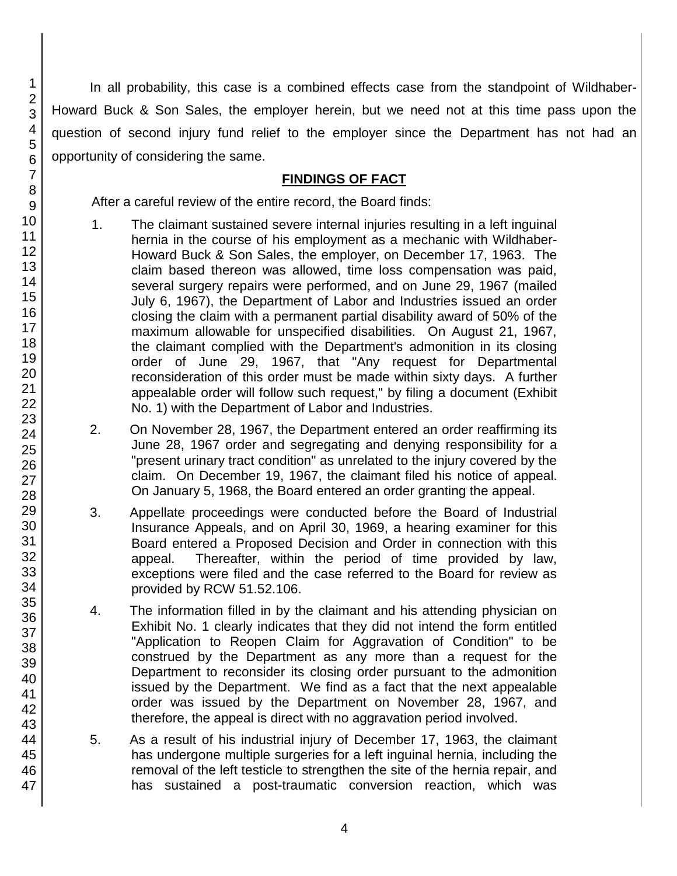In all probability, this case is a combined effects case from the standpoint of Wildhaber-Howard Buck & Son Sales, the employer herein, but we need not at this time pass upon the question of second injury fund relief to the employer since the Department has not had an opportunity of considering the same.

## **FINDINGS OF FACT**

After a careful review of the entire record, the Board finds:

- 1. The claimant sustained severe internal injuries resulting in a left inguinal hernia in the course of his employment as a mechanic with Wildhaber-Howard Buck & Son Sales, the employer, on December 17, 1963. The claim based thereon was allowed, time loss compensation was paid, several surgery repairs were performed, and on June 29, 1967 (mailed July 6, 1967), the Department of Labor and Industries issued an order closing the claim with a permanent partial disability award of 50% of the maximum allowable for unspecified disabilities. On August 21, 1967, the claimant complied with the Department's admonition in its closing order of June 29, 1967, that "Any request for Departmental reconsideration of this order must be made within sixty days. A further appealable order will follow such request," by filing a document (Exhibit No. 1) with the Department of Labor and Industries.
- 2. On November 28, 1967, the Department entered an order reaffirming its June 28, 1967 order and segregating and denying responsibility for a "present urinary tract condition" as unrelated to the injury covered by the claim. On December 19, 1967, the claimant filed his notice of appeal. On January 5, 1968, the Board entered an order granting the appeal.
- 3. Appellate proceedings were conducted before the Board of Industrial Insurance Appeals, and on April 30, 1969, a hearing examiner for this Board entered a Proposed Decision and Order in connection with this appeal. Thereafter, within the period of time provided by law, exceptions were filed and the case referred to the Board for review as provided by RCW 51.52.106.
- 4. The information filled in by the claimant and his attending physician on Exhibit No. 1 clearly indicates that they did not intend the form entitled "Application to Reopen Claim for Aggravation of Condition" to be construed by the Department as any more than a request for the Department to reconsider its closing order pursuant to the admonition issued by the Department. We find as a fact that the next appealable order was issued by the Department on November 28, 1967, and therefore, the appeal is direct with no aggravation period involved.
- 5. As a result of his industrial injury of December 17, 1963, the claimant has undergone multiple surgeries for a left inguinal hernia, including the removal of the left testicle to strengthen the site of the hernia repair, and has sustained a post-traumatic conversion reaction, which was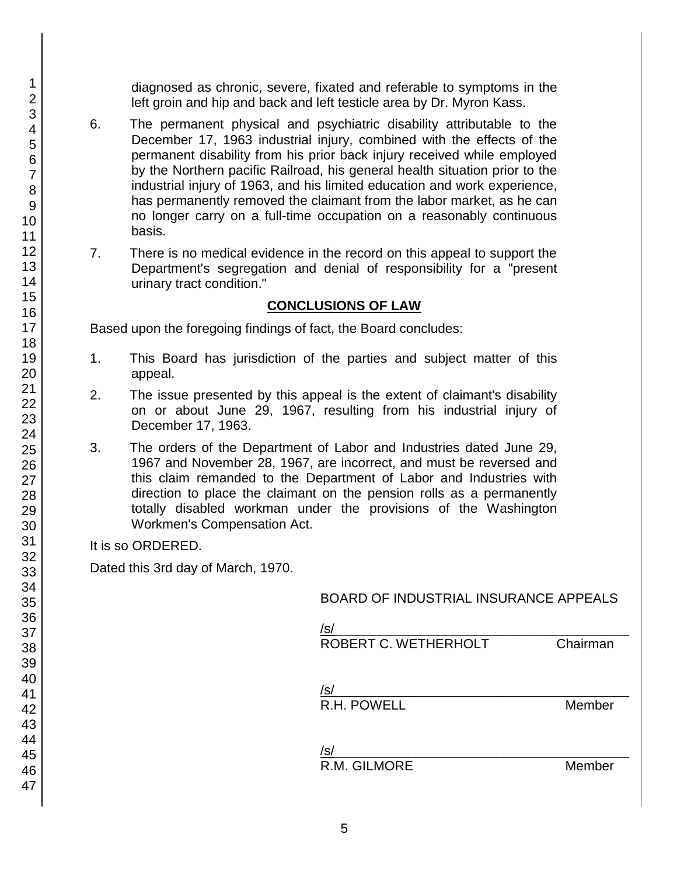diagnosed as chronic, severe, fixated and referable to symptoms in the left groin and hip and back and left testicle area by Dr. Myron Kass.

- 6. The permanent physical and psychiatric disability attributable to the December 17, 1963 industrial injury, combined with the effects of the permanent disability from his prior back injury received while employed by the Northern pacific Railroad, his general health situation prior to the industrial injury of 1963, and his limited education and work experience, has permanently removed the claimant from the labor market, as he can no longer carry on a full-time occupation on a reasonably continuous basis.
- 7. There is no medical evidence in the record on this appeal to support the Department's segregation and denial of responsibility for a "present urinary tract condition."

### **CONCLUSIONS OF LAW**

Based upon the foregoing findings of fact, the Board concludes:

- 1. This Board has jurisdiction of the parties and subject matter of this appeal.
- 2. The issue presented by this appeal is the extent of claimant's disability on or about June 29, 1967, resulting from his industrial injury of December 17, 1963.
- 3. The orders of the Department of Labor and Industries dated June 29, 1967 and November 28, 1967, are incorrect, and must be reversed and this claim remanded to the Department of Labor and Industries with direction to place the claimant on the pension rolls as a permanently totally disabled workman under the provisions of the Washington Workmen's Compensation Act.

It is so ORDERED.

Dated this 3rd day of March, 1970.

| <b>BOARD OF INDUSTRIAL INSURANCE APPEALS</b> |          |
|----------------------------------------------|----------|
| /s/<br>ROBERT C. WETHERHOLT                  | Chairman |
| /s/<br>R.H. POWELL                           | Member   |
| 'S<br>R.M. GILMORE                           | Member   |